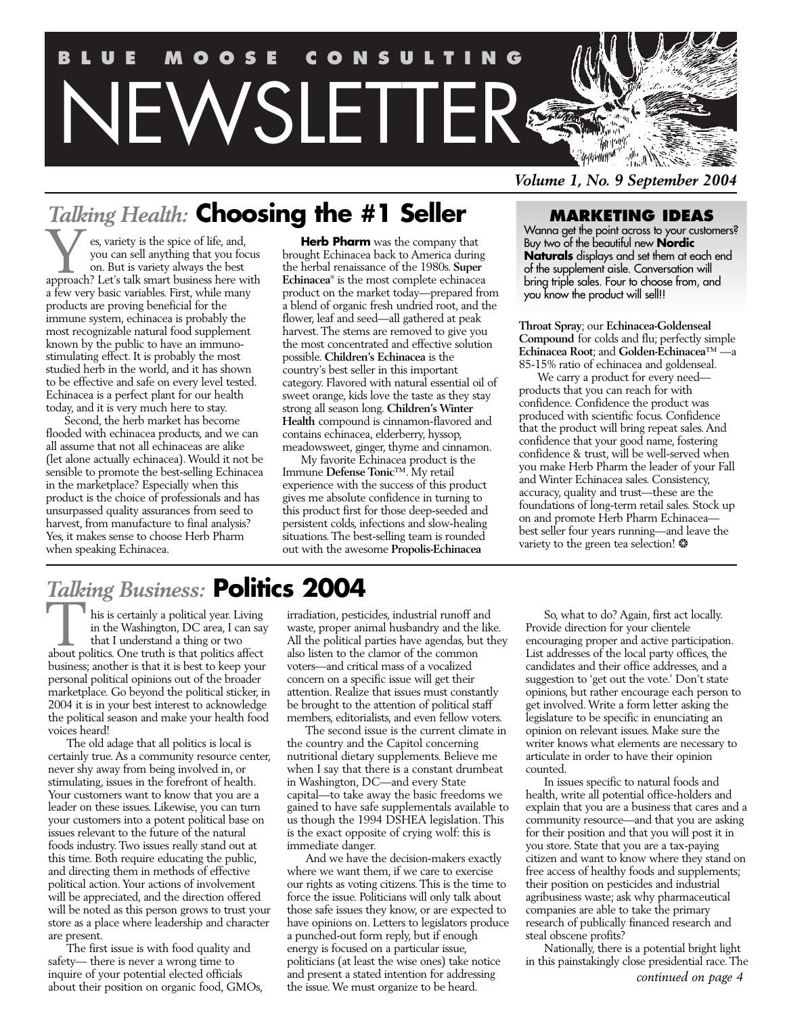

*Volume 1, No. 9 September 2004*

# *Talking Health:* **Choosing the #1 Seller**

es, variety is the spice of life, and, you can sell anything that you focus on. But is variety always the best es, variety is the spice of life, and, you can sell anything that you focus on. But is variety always the best approach? Let's talk smart business here with a few very basic variables. First, while many products are proving beneficial for the immune system, echinacea is probably the most recognizable natural food supplement known by the public to have an immunostimulating effect. It is probably the most studied herb in the world, and it has shown to be effective and safe on every level tested. Echinacea is a perfect plant for our health today, and it is very much here to stay.

Second, the herb market has become flooded with echinacea products, and we can all assume that not all echinaceas are alike (let alone actually echinacea). Would it not be sensible to promote the best-selling Echinacea in the marketplace? Especially when this product is the choice of professionals and has unsurpassed quality assurances from seed to harvest, from manufacture to final analysis? Yes, it makes sense to choose Herb Pharm when speaking Echinacea.

**Herb Pharm** was the company that brought Echinacea back to America during the herbal renaissance of the 1980s. **Super Echinacea**® is the most complete echinacea product on the market today—prepared from a blend of organic fresh undried root, and the flower, leaf and seed—all gathered at peak harvest. The stems are removed to give you the most concentrated and effective solution possible. **Children's Echinacea** is the country's best seller in this important category. Flavored with natural essential oil of sweet orange, kids love the taste as they stay strong all season long. **Children's Winter Health** compound is cinnamon-flavored and contains echinacea, elderberry, hyssop, meadowsweet, ginger, thyme and cinnamon.

My favorite Echinacea product is the Immune **Defense Tonic**™. My retail experience with the success of this product gives me absolute confidence in turning to this product first for those deep-seeded and persistent colds, infections and slow-healing situations. The best-selling team is rounded out with the awesome **Propolis-Echinacea**

# **MARKETING IDEAS**

Wanna get the point across to your customers? Buy two of the beautiful new **Nordic Naturals** displays and set them at each end of the supplement aisle. Conversation will bring triple sales. Four to choose from, and you know the product will sell!!

**Throat Spray**; our **Echinacea-Goldenseal Compound** for colds and flu; perfectly simple **Echinacea Root**; and Golden-Echinacea™ – 85-15% ratio of echinacea and goldenseal.

We carry a product for every need products that you can reach for with confidence. Confidence the product was produced with scientific focus. Confidence that the product will bring repeat sales. And confidence that your good name, fostering confidence & trust, will be well-served when you make Herb Pharm the leader of your Fall and Winter Echinacea sales. Consistency, accuracy, quality and trust—these are the foundations of long-term retail sales. Stock up on and promote Herb Pharm Echinacea best seller four years running—and leave the variety to the green tea selection! ❂

# *Talking Business:* **Politics 2004**

his is certainly a political year. Living in the Washington, DC area, I can say that I understand a thing or two his is certainly a political year. Living<br>in the Washington, DC area, I can sa<br>that I understand a thing or two<br>about politics. One truth is that politics affect business; another is that it is best to keep your personal political opinions out of the broader marketplace. Go beyond the political sticker, in 2004 it is in your best interest to acknowledge the political season and make your health food voices heard!

The old adage that all politics is local is certainly true. As a community resource center, never shy away from being involved in, or stimulating, issues in the forefront of health. Your customers want to know that you are a leader on these issues. Likewise, you can turn your customers into a potent political base on issues relevant to the future of the natural foods industry. Two issues really stand out at this time. Both require educating the public, and directing them in methods of effective political action. Your actions of involvement will be appreciated, and the direction offered will be noted as this person grows to trust your store as a place where leadership and character are present.

The first issue is with food quality and safety— there is never a wrong time to inquire of your potential elected officials about their position on organic food, GMOs, irradiation, pesticides, industrial runoff and waste, proper animal husbandry and the like. All the political parties have agendas, but they also listen to the clamor of the common voters—and critical mass of a vocalized concern on a specific issue will get their attention. Realize that issues must constantly be brought to the attention of political staff members, editorialists, and even fellow voters.

The second issue is the current climate in the country and the Capitol concerning nutritional dietary supplements. Believe me when I say that there is a constant drumbeat in Washington, DC—and every State capital—to take away the basic freedoms we gained to have safe supplementals available to us though the 1994 DSHEA legislation. This is the exact opposite of crying wolf: this is immediate danger.

And we have the decision-makers exactly where we want them, if we care to exercise our rights as voting citizens. This is the time to force the issue. Politicians will only talk about those safe issues they know, or are expected to have opinions on. Letters to legislators produce a punched-out form reply, but if enough energy is focused on a particular issue, politicians (at least the wise ones) take notice and present a stated intention for addressing the issue. We must organize to be heard.

So, what to do? Again, first act locally. Provide direction for your clientele encouraging proper and active participation. List addresses of the local party offices, the candidates and their office addresses, and a suggestion to 'get out the vote.' Don't state opinions, but rather encourage each person to get involved. Write a form letter asking the legislature to be specific in enunciating an opinion on relevant issues. Make sure the writer knows what elements are necessary to articulate in order to have their opinion counted.

In issues specific to natural foods and health, write all potential office-holders and explain that you are a business that cares and a community resource—and that you are asking for their position and that you will post it in you store. State that you are a tax-paying citizen and want to know where they stand on free access of healthy foods and supplements; their position on pesticides and industrial agribusiness waste; ask why pharmaceutical companies are able to take the primary research of publically financed research and steal obscene profits?

Nationally, there is a potential bright light in this painstakingly close presidential race. The *continued on page 4*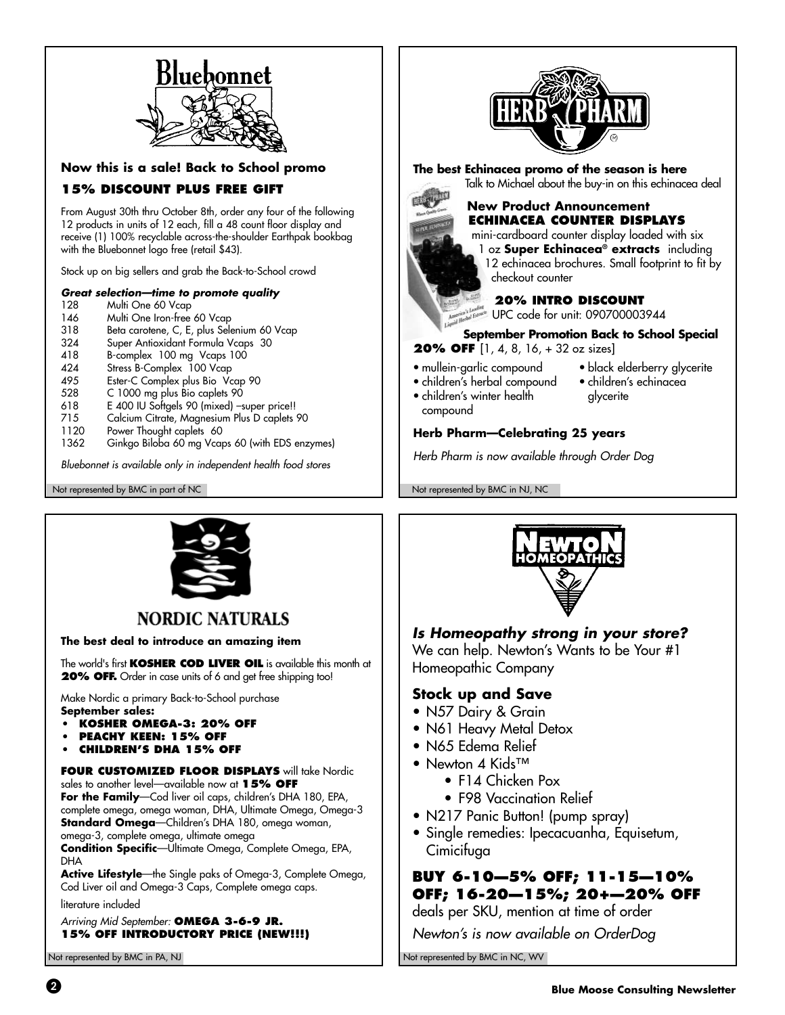

**Now this is a sale! Back to School promo**

# **15% DISCOUNT PLUS FREE GIFT**

From August 30th thru October 8th, order any four of the following 12 products in units of 12 each, fill a 48 count floor display and receive (1) 100% recyclable across-the-shoulder Earthpak bookbag with the Bluebonnet logo free (retail \$43).

Stock up on big sellers and grab the Back-to-School crowd

#### **Great selection—time to promote quality**

- 128 Multi One 60 Vcap<br>146 Multi One Iron-free
- 146 Multi One Iron-free 60 Vcap<br>318 Beta carotene, C, E, plus Sele
- 318 Beta carotene, C, E, plus Selenium 60 Vcap
- 324 Super Antioxidant Formula Vcaps 30
- 418 B-complex 100 mg Vcaps 100<br>424 Stress B-Complex 100 Vcap
- 424 Stress B-Complex 100 Vcap<br>495 Fster-C Complex plus Bio Vc
- 495 Ester-C Complex plus Bio Vcap 90<br>528 C 1000 ma plus Bio caplets 90
- 528 C 1000 mg plus Bio caplets 90<br>618 E 400 IU Softaels 90 (mixed) –s
- 618 E 400 IU Softgels 90 (mixed) –super price!!
- 715 Calcium Citrate, Magnesium Plus D caplets 90
- 1120 Power Thought caplets 60<br>1362 Ginkao Biloba 60 ma Vcar
- Ginkgo Biloba 60 mg Vcaps 60 (with EDS enzymes)

Bluebonnet is available only in independent health food stores

Not represented by BMC in part of NC Not represented by BMC in NJ, NC



**The best Echinacea promo of the season is here** Talk to Michael about the buy-in on this echinacea deal



### **ECHINACEA COUNTER DISPLAYS** mini-cardboard counter display loaded with six

1 oz **Super Echinacea® extracts** including 12 echinacea brochures. Small footprint to fit by checkout counter

### **20% INTRO DISCOUNT**

**UPC** code for unit: 090700003944

### **September Promotion Back to School Special**

**20% OFF** [1, 4, 8, 16, + 32 oz sizes]

- mullein-garlic compound
- children's herbal compound
- children's winter health compound
- children's echinacea glycerite

• black elderberry glycerite

## **Herb Pharm—Celebrating 25 years**

Herb Pharm is now available through Order Dog



# **NORDIC NATURALS**

**The best deal to introduce an amazing item**

The world's first **KOSHER COD LIVER OIL** is available this month at **20% OFF.** Order in case units of 6 and get free shipping too!

Make Nordic a primary Back-to-School purchase

- **September sales: • KOSHER OMEGA-3: 20% OFF**
- **PEACHY KEEN: 15% OFF**
- **CHILDREN'S DHA 15% OFF**

#### **FOUR CUSTOMIZED FLOOR DISPLAYS** will take Nordic sales to another level—available now at **15% OFF**

**For the Family**—Cod liver oil caps, children's DHA 180, EPA, complete omega, omega woman, DHA, Ultimate Omega, Omega-3 **Standard Omega**—Children's DHA 180, omega woman, omega-3, complete omega, ultimate omega

**Condition Specific**—Ultimate Omega, Complete Omega, EPA, DHA

**Active Lifestyle**—the Single paks of Omega-3, Complete Omega, Cod Liver oil and Omega-3 Caps, Complete omega caps.

literature included

Arriving Mid September: **OMEGA 3-6-9 JR. 15% OFF INTRODUCTORY PRICE (NEW!!!)**



# **Is Homeopathy strong in your store?**

We can help. Newton's Wants to be Your #1 Homeopathic Company

# **Stock up and Save**

- N57 Dairy & Grain
- N61 Heavy Metal Detox
- N65 Edema Relief
- Newton 4 Kids™
	- F14 Chicken Pox
		- F98 Vaccination Relief
- N217 Panic Button! (pump spray)
- Single remedies: Ipecacuanha, Equisetum, Cimicifuga

# **BUY 6-10—5% OFF; 11-15—10% OFF; 16-20—15%; 20+—20% OFF**

deals per SKU, mention at time of order

Newton's is now available on OrderDog

Not represented by BMC in PA, NJ Not represented by BMC in NC, WV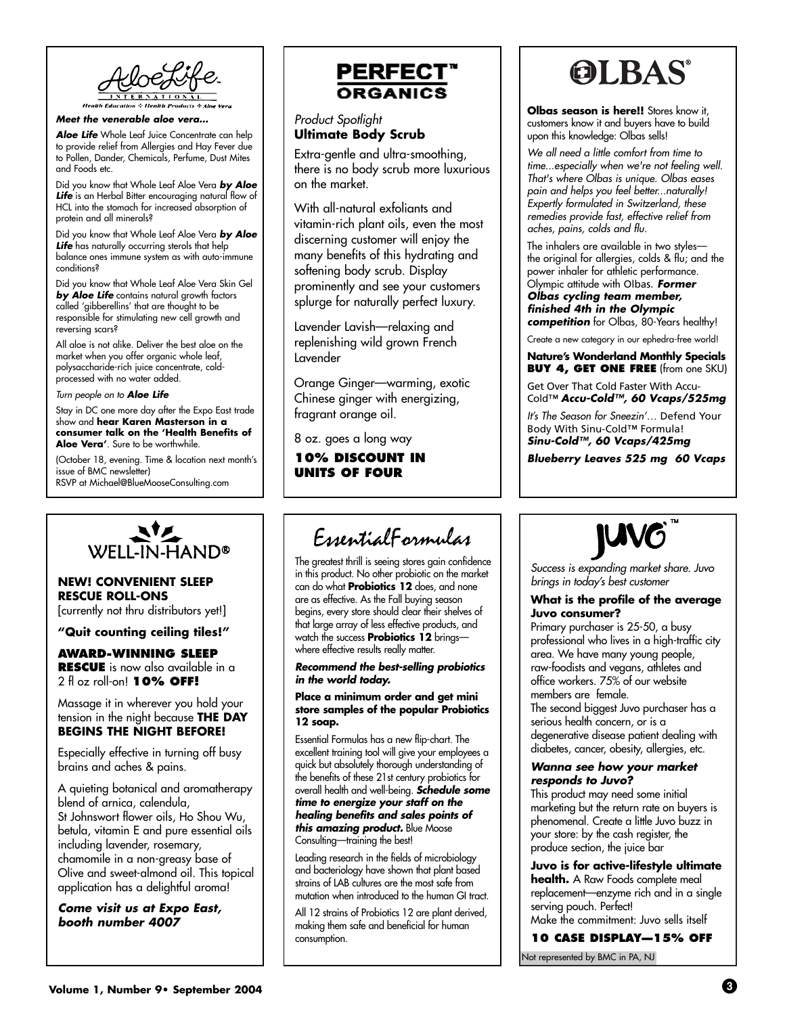**Meet the venerable aloe vera…**

**Aloe Life** Whole Leaf Juice Concentrate can help to provide relief from Allergies and Hay Fever due to Pollen, Dander, Chemicals, Perfume, Dust Mites and Foods etc.

Did you know that Whole Leaf Aloe Vera **by Aloe Life** is an Herbal Bitter encouraging natural flow of HCL into the stomach for increased absorption of protein and all minerals?

Did you know that Whole Leaf Aloe Vera **by Aloe** Life has naturally occurring sterols that help balance ones immune system as with auto-immune conditions?

Did you know that Whole Leaf Aloe Vera Skin Gel **by Aloe Life** contains natural growth factors called 'gibberellins' that are thought to be responsible for stimulating new cell growth and reversing scars?

All aloe is not alike. Deliver the best aloe on the market when you offer organic whole leaf, polysaccharide-rich juice concentrate, coldprocessed with no water added.

Turn people on to **Aloe Life**

Stay in DC one more day after the Expo East trade show and **hear Karen Masterson in a consumer talk on the 'Health Benefits of Aloe Vera'**. Sure to be worthwhile.

(October 18, evening. Time & location next month's issue of BMC newsletter) RSVP at Michael@BlueMooseConsulting.com



#### **NEW! CONVENIENT SLEEP RESCUE ROLL-ONS**

[currently not thru distributors yet!]

## **"Quit counting ceiling tiles!"**

**AWARD-WINNING SLEEP RESCUE** is now also available in a 2 fl oz roll-on! **10% OFF!**

Massage it in wherever you hold your tension in the night because **THE DAY BEGINS THE NIGHT BEFORE!**

Especially effective in turning off busy brains and aches & pains.

A quieting botanical and aromatherapy blend of arnica, calendula, St Johnswort flower oils, Ho Shou Wu, betula, vitamin E and pure essential oils including lavender, rosemary, chamomile in a non-greasy base of Olive and sweet-almond oil. This topical application has a delightful aroma!

**Come visit us at Expo East, booth number 4007**

# **PERFECT** ORGANICS

### Product Spotlight **Ultimate Body Scrub**

Extra-gentle and ultra-smoothing, there is no body scrub more luxurious on the market.

With all-natural exfoliants and vitamin-rich plant oils, even the most discerning customer will enjoy the many benefits of this hydrating and softening body scrub. Display prominently and see your customers splurge for naturally perfect luxury.

Lavender Lavish—relaxing and replenishing wild grown French Lavender

Orange Ginger—warming, exotic Chinese ginger with energizing, fragrant orange oil.

8 oz. goes a long way

**10% DISCOUNT IN UNITS OF FOUR**

# EssentialFormulas

The greatest thrill is seeing stores gain confidence in this product. No other probiotic on the market can do what **Probiotics 12** does, and none are as effective. As the Fall buying season begins, every store should clear their shelves of that large array of less effective products, and watch the success **Probiotics 12** brings where effective results really matter.

**Recommend the best-selling probiotics in the world today.**

**Place a minimum order and get mini store samples of the popular Probiotics 12 soap.**

Essential Formulas has a new flip-chart. The excellent training tool will give your employees a quick but absolutely thorough understanding of the benefits of these 21st century probiotics for overall health and well-being. **Schedule some time to energize your staff on the healing benefits and sales points of this amazing product.** Blue Moose Consulting—training the best!

Leading research in the fields of microbiology and bacteriology have shown that plant based strains of LAB cultures are the most safe from mutation when introduced to the human GI tract.

All 12 strains of Probiotics 12 are plant derived, making them safe and beneficial for human consumption.

# **OLBAS**

**Olbas season is here!!** Stores know it, customers know it and buyers have to build upon this knowledge: Olbas sells!

We all need a little comfort from time to time...especially when we're not feeling well. That's where Olbas is unique. Olbas eases pain and helps you feel better...naturally! Expertly formulated in Switzerland, these remedies provide fast, effective relief from aches, pains, colds and flu.

The inhalers are available in two styles the original for allergies, colds & flu; and the power inhaler for athletic performance. Olympic attitude with Olbas. **Former Olbas cycling team member, finished 4th in the Olympic competition** for Olbas, 80-Years healthy!

Create a new category in our ephedra-free world!

**Nature's Wonderland Monthly Specials BUY 4, GET ONE FREE** (from one SKU)

Get Over That Cold Faster With Accu-Cold™ **Accu-Cold™, 60 Vcaps/525mg** 

It's The Season for Sneezin'… Defend Your Body With Sinu-Cold™ Formula! **Sinu-Cold™, 60 Vcaps/425mg** 

**Blueberry Leaves 525 mg 60 Vcaps**



Success is expanding market share. Juvo brings in today's best customer

#### **What is the profile of the average Juvo consumer?**

Primary purchaser is 25-50, a busy professional who lives in a high-traffic city area. We have many young people, raw-foodists and vegans, athletes and office workers. 75% of our website members are female.

The second biggest Juvo purchaser has a serious health concern, or is a degenerative disease patient dealing with diabetes, cancer, obesity, allergies, etc.

#### **Wanna see how your market responds to Juvo?**

This product may need some initial marketing but the return rate on buyers is phenomenal. Create a little Juvo buzz in your store: by the cash register, the produce section, the juice bar

**Juvo is for active-lifestyle ultimate health.** A Raw Foods complete meal replacement—enzyme rich and in a single serving pouch. Perfect! Make the commitment: Juvo sells itself

**10 CASE DISPLAY—15% OFF** Not represented by BMC in PA, NJ